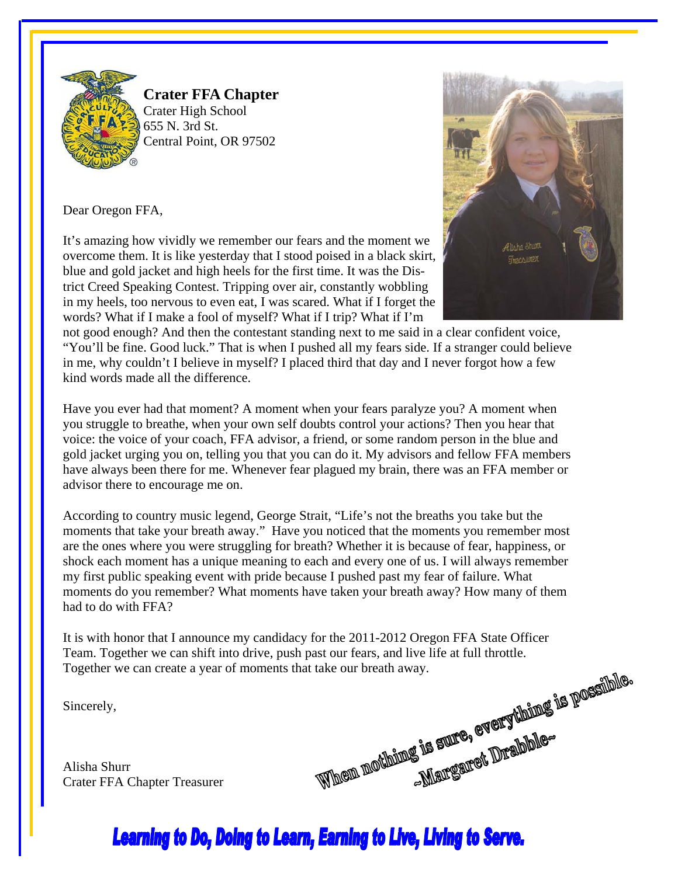

**Crater FFA Chapter**  Crater High School 655 N. 3rd St. Central Point, OR 97502

Dear Oregon FFA,

It's amazing how vividly we remember our fears and the moment we overcome them. It is like yesterday that I stood poised in a black skirt, blue and gold jacket and high heels for the first time. It was the District Creed Speaking Contest. Tripping over air, constantly wobbling in my heels, too nervous to even eat, I was scared. What if I forget the words? What if I make a fool of myself? What if I trip? What if I'm



not good enough? And then the contestant standing next to me said in a clear confident voice, "You'll be fine. Good luck." That is when I pushed all my fears side. If a stranger could believe in me, why couldn't I believe in myself? I placed third that day and I never forgot how a few kind words made all the difference.

Have you ever had that moment? A moment when your fears paralyze you? A moment when you struggle to breathe, when your own self doubts control your actions? Then you hear that voice: the voice of your coach, FFA advisor, a friend, or some random person in the blue and gold jacket urging you on, telling you that you can do it. My advisors and fellow FFA members have always been there for me. Whenever fear plagued my brain, there was an FFA member or advisor there to encourage me on.

According to country music legend, George Strait, "Life's not the breaths you take but the moments that take your breath away." Have you noticed that the moments you remember most are the ones where you were struggling for breath? Whether it is because of fear, happiness, or shock each moment has a unique meaning to each and every one of us. I will always remember my first public speaking event with pride because I pushed past my fear of failure. What moments do you remember? What moments have taken your breath away? How many of them had to do with FFA?

It is with honor that I announce my candidacy for the 2011-2012 Oregon FFA State Officer Together we can create a year of moments that take our breath away.

Sincerely,

Alisha Shurr Crater FFA Chapter Treasurer



# **Learning to Do, Doing to Learn, Earning to Live, Living to Serve.**